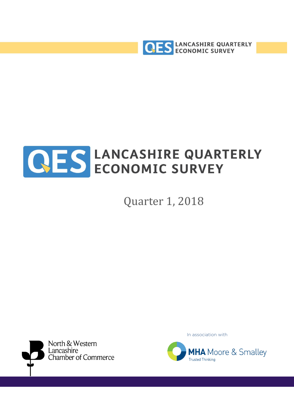



# Quarter 1, 2018



In association with

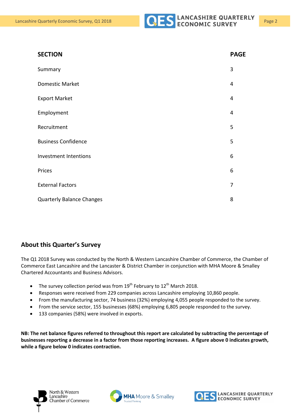

| <b>SECTION</b>                   | <b>PAGE</b>    |
|----------------------------------|----------------|
| Summary                          | 3              |
| <b>Domestic Market</b>           | $\overline{4}$ |
| <b>Export Market</b>             | $\overline{4}$ |
| Employment                       | 4              |
| Recruitment                      | 5              |
| <b>Business Confidence</b>       | 5              |
| Investment Intentions            | 6              |
| Prices                           | 6              |
| <b>External Factors</b>          | 7              |
| <b>Quarterly Balance Changes</b> | 8              |

#### **About this Quarter's Survey**

The Q1 2018 Survey was conducted by the North & Western Lancashire Chamber of Commerce, the Chamber of Commerce East Lancashire and the Lancaster & District Chamber in conjunction with MHA Moore & Smalley Chartered Accountants and Business Advisors.

- The survey collection period was from  $19^{th}$  February to  $12^{th}$  March 2018.
- Responses were received from 229 companies across Lancashire employing 10,860 people.
- From the manufacturing sector, 74 business (32%) employing 4,055 people responded to the survey.
- From the service sector, 155 businesses (68%) employing 6,805 people responded to the survey.
- 133 companies (58%) were involved in exports.

**NB: The net balance figures referred to throughout this report are calculated by subtracting the percentage of businesses reporting a decrease in a factor from those reporting increases. A figure above 0 indicates growth, while a figure below 0 indicates contraction.**

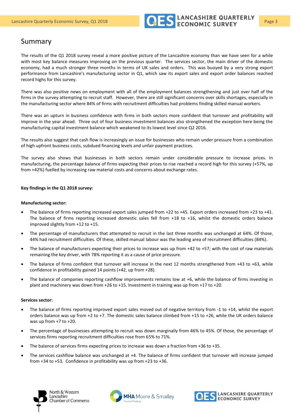

# Summary

The results of the Q1 2018 survey reveal a more positive picture of the Lancashire economy than we have seen for a while with most key balance measures improving on the previous quarter. The services sector, the main driver of the domestic economy, had a much stronger three months in terms of UK sales and orders. This was buoyed by a very strong export performance from Lancashire's manufacturing sector in Q1, which saw its export sales and export order balances reached record highs for this survey.

There was also positive news on employment with all of the employment balances strengthening and just over half of the firms in the survey attempting to recruit staff. However, there are still significant concerns over skills shortages, especially in the manufacturing sector where 84% of firms with recruitment difficulties had problems finding skilled manual workers.

There was an upturn in business confidence with firms in both sectors more confident that turnover and profitability will improve in the year ahead. Three out of four business investment balances also strengthened the exception here being the manufacturing capital investment balance which weakened to its lowest level since Q2 2016.

The results also suggest that cash flow is increasingly an issue for businesses who remain under pressure from a combination of high upfront business costs, subdued financing levels and unfair payment practices.

The survey also shows that businesses in both sectors remain under considerable pressure to increase prices. In manufacturing, the percentage balance of firms expecting their prices to rise reached a record high for this survey (+57%, up from +42%) fuelled by increasing raw material costs and concerns about exchange rates.

#### **Key findings in the Q1 2018 survey:**

#### **Manufacturing sector:**

- The balance of firms reporting increased export sales jumped from +22 to +45. Export orders increased from +23 to +41. The balance of firms reporting increased domestic sales fell from +18 to +16, whilst the domestic orders balance improved slightly from +12 to +15.
- The percentage of manufacturers that attempted to recruit in the last three months was unchanged at 64%. Of those, 44% had recruitment difficulties. Of these, skilled manual labour was the leading area of recruitment difficulties (84%).
- The balance of manufacturers expecting their prices to increase was up from +42 to +57; with the cost of raw materials remaining the key driver, with 78% reporting it as a cause of price pressure.
- The balance of firms confident that turnover will increase in the next 12 months strengthened from +43 to +63, while confidence in profitability gained 14 points (+42, up from +28).
- The balance of companies reporting cashflow improvements remains low at +6, while the balance of firms investing in plant and machinery was down from +26 to +15. Investment in training was up from +17 to +20.

#### **Services sector:**

- The balance of firms reporting improved export sales moved out of negative territory from -1 to +14, whilst the export orders balance was up from +2 to +7. The domestic sales balance climbed from +15 to +26, while the UK orders balance was up from +7 to +20.
- The percentage of businesses attempting to recruit was down marginally from 46% to 45%. Of those, the percentage of services firms reporting recruitment difficulties rose from 65% to 71%.
- The balance of services firms expecting prices to increase was down a fraction from +36 to +35.
- The services cashflow balance was unchanged at +4. The balance of firms confident that turnover will increase jumped from +34 to +53. Confidence in profitability was up from +23 to +36.





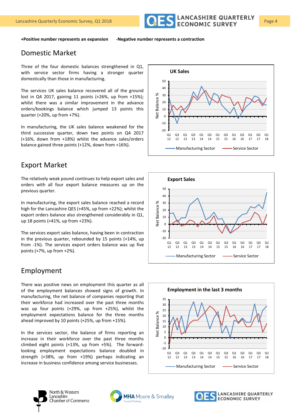

**+Positive number represents an expansion -Negative number represents a contraction**

#### Domestic Market

Three of the four domestic balances strengthened in Q1, with service sector firms having a stronger quarter domestically than those in manufacturing.

The services UK sales balance recovered all of the ground lost in Q4 2017, gaining 11 points (+26%, up from +15%); whilst there was a similar improvement in the advance orders/bookings balance which jumped 13 points this quarter (+20%, up from +7%).

In manufacturing, the UK sales balance weakened for the third successive quarter, down two points on Q4 2017 (+16%, down from +18%) whilst the advance sales/orders balance gained three points (+12%, down from +16%).

## Export Market

The relatively weak pound continues to help export sales and orders with all four export balance measures up on the previous quarter.

In manufacturing, the export sales balance reached a record high for the Lancashire QES (+45%, up from +22%); whilst the export orders balance also strengthened considerably in Q1, up 18 points (+41%, up from +23%).

The services export sales balance, having been in contraction in the previous quarter, rebounded by 15 points (+14%, up from -1%). The services export orders balance was up five points (+7%, up from +2%).

#### Employment

There was positive news on employment this quarter as all of the employment balances showed signs of growth. In manufacturing, the net balance of companies reporting that their workforce had increased over the past three months was up four points (+29%, up from +25%), whilst the employment expectations balance for the three months ahead improved by 10 points (+25%, up from +15%).

In the services sector, the balance of firms reporting an increase in their workforce over the past three months climbed eight points (+13%, up from +5%). The forwardlooking employment expectations balance doubled in strength (+38%, up from +19%) perhaps indicating an increase in business confidence among service businesses.









Chamber of Commerce



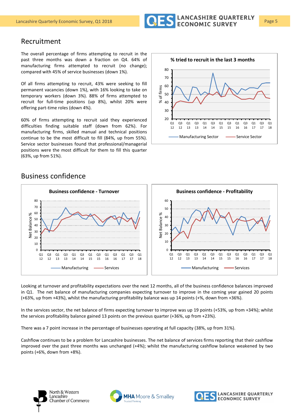

## Recruitment

The overall percentage of firms attempting to recruit in the past three months was down a fraction on Q4. 64% of manufacturing firms attempted to recruit (no change); compared with 45% of service businesses (down 1%).

Of all firms attempting to recruit, 43% were seeking to fill permanent vacancies (down 1%), with 16% looking to take on temporary workers (down 3%). 88% of firms attempted to recruit for full-time positions (up 8%), whilst 20% were offering part-time roles (down 4%).

60% of firms attempting to recruit said they experienced difficulties finding suitable staff (down from 62%). For manufacturing firms, skilled manual and technical positions continue to be the most difficult to fill (84%, up from 55%). Service sector businesses found that professional/managerial positions were the most difficult for them to fill this quarter (63%, up from 51%).



#### Business confidence



Looking at turnover and profitability expectations over the next 12 months, all of the business confidence balances improved in Q1. The net balance of manufacturing companies expecting turnover to improve in the coming year gained 20 points (+63%, up from +43%), whilst the manufacturing profitability balance was up 14 points (+%, down from +36%).

In the services sector, the net balance of firms expecting turnover to improve was up 19 points (+53%, up from +34%); whilst the services profitability balance gained 13 points on the previous quarter (+36%, up from +23%).

There was a 7 point increase in the percentage of businesses operating at full capacity (38%, up from 31%).

Cashflow continues to be a problem for Lancashire businesses. The net balance of services firms reporting that their cashflow improved over the past three months was unchanged (+4%); whilst the manufacturing cashflow balance weakened by two points (+6%, down from +8%).





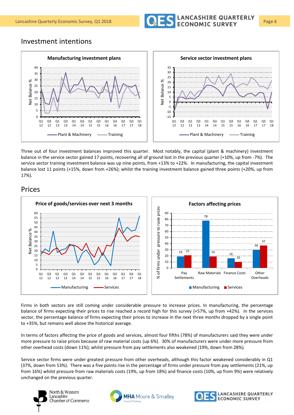

#### Investment intentions



Three out of four investment balances improved this quarter. Most notably, the capital (plant & machinery) investment balance in the service sector gained 17 points, recovering all of ground lost in the previous quarter (+10%, up from -7%). The service sector training investment balance was up nine points, from +13% to +22%. In manufacturing, the capital investment balance lost 11 points (+15%, down from +26%); whilst the training investment balance gained three points (+20%, up from 17%).

### Prices



Firms in both sectors are still coming under considerable pressure to increase prices. In manufacturing, the percentage balance of firms expecting their prices to rise reached a record high for this survey (+57%, up from +42%). In the services sector, the percentage balance of firms expecting their prices to increase in the next three months dropped by a single point to +35%, but remains well above the historical average.

In terms of factors affecting the price of goods and services, almost four fifths (78%) of manufacturers said they were under more pressure to raise prices because of raw material costs (up 6%). 30% of manufacturers were under more pressure from other overhead costs (down 11%); whilst pressure from pay settlements also weakened (19%, down from 28%).

Service sector firms were under greatest pressure from other overheads, although this factor weakened considerably in Q1 (37%, down from 53%). There was a five points rise in the percentage of firms under pressure from pay settlements (21%, up from 16%) whilst pressure from raw materials costs (19%, up from 18%) and finance costs (10%, up from 9%) were relatively unchanged on the previous quarter.



Chamber of Commerce



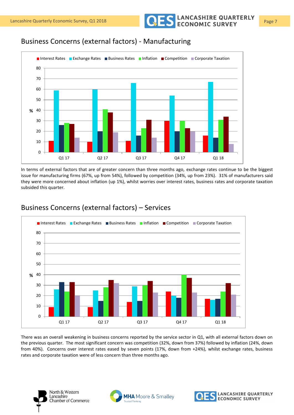Lancashire Quarterly Economic Survey, Q1 2018 **Page 7** COLON CONOMIC SURVEY

# Business Concerns (external factors) - Manufacturing



In terms of external factors that are of greater concern than three months ago, exchange rates continue to be the biggest issue for manufacturing firms (67%, up from 54%), followed by competition (34%, up from 23%). 31% of manufacturers said they were more concerned about inflation (up 1%), whilst worries over interest rates, business rates and corporate taxation subsided this quarter.



## Business Concerns (external factors) – Services

There was an overall weakening in business concerns reported by the service sector in Q1, with all external factors down on the previous quarter. The most significant concern was competition (32%, down from 37%) followed by inflation (24%, down from 40%). Concerns over interest rates eased by seven points (17%, down from +24%), whilst exchange rates, business rates and corporate taxation were of less concern than three months ago.



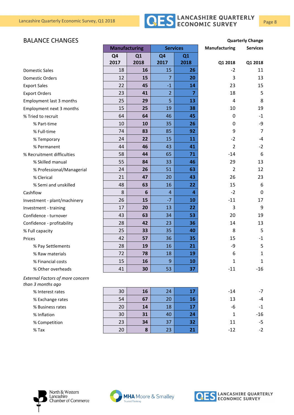

#### **BALANCE CHANGES Quarterly Change**

|                                                              | <b>Manufacturing</b> |           | <b>Services</b> |                | <b>Manufacturing</b> | <b>Services</b> |
|--------------------------------------------------------------|----------------------|-----------|-----------------|----------------|----------------------|-----------------|
|                                                              | Q <sub>4</sub>       | Q1        | Q <sub>4</sub>  | Q <sub>1</sub> |                      |                 |
|                                                              | 2017                 | 2018      | 2017            | 2018           | Q1 2018              | Q1 2018         |
| <b>Domestic Sales</b>                                        | 18                   | 16        | 15              | 26             | $-2$                 | 11              |
| <b>Domestic Orders</b>                                       | 12                   | 15        | 7               | 20             | 3                    | 13              |
| <b>Export Sales</b>                                          | 22                   | 45        | $-1$            | 14             | 23                   | 15              |
| <b>Export Orders</b>                                         | 23                   | 41        | $\overline{2}$  | 7              | 18                   | 5               |
| Employment last 3 months                                     | 25                   | 29        | 5               | 13             | 4                    | 8               |
| Employment next 3 months                                     | 15                   | 25        | 19              | 38             | 10                   | 19              |
| % Tried to recruit                                           | 64                   | 64        | 46              | 45             | 0                    | $-1$            |
| % Part-time                                                  | 10                   | 10        | 35              | 26             | 0                    | -9              |
| % Full-time                                                  | 74                   | 83        | 85              | 92             | 9                    | $\overline{7}$  |
| % Temporary                                                  | 24                   | 22        | 15              | 11             | $-2$                 | $-4$            |
| % Permanent                                                  | 44                   | 46        | 43              | 41             | 2                    | $-2$            |
| % Recruitment difficulties                                   | 58                   | 44        | 65              | 71             | $-14$                | 6               |
| % Skilled manual                                             | 55                   | 84        | 33              | 46             | 29                   | 13              |
| % Professional/Managerial                                    | 24                   | 26        | 51              | 63             | 2                    | 12              |
| % Clerical                                                   | 21                   | 47        | 20              | 43             | 26                   | 23              |
| % Semi and unskilled                                         | 48                   | 63        | 16              | 22             | 15                   | 6               |
| Cashflow                                                     | 8                    | 6         | $\overline{4}$  | 4              | $-2$                 | $\mathbf 0$     |
| Investment - plant/machinery                                 | 26                   | 15        | $-7$            | 10             | $-11$                | 17              |
| Investment - training                                        | 17                   | 20        | 13              | 22             | 3                    | 9               |
| Confidence - turnover                                        | 43                   | 63        | 34              | 53             | 20                   | 19              |
| Confidence - profitability                                   | 28                   | 42        | 23              | 36             | 14                   | 13              |
| % Full capacity                                              | 25                   | 33        | 35              | 40             | 8                    | 5               |
| Prices                                                       | 42                   | 57        | 36              | 35             | 15                   | $-1$            |
| % Pay Settlements                                            | 28                   | 19        | 16              | 21             | -9                   | 5               |
| % Raw materials                                              | 72                   | 78        | 18              | 19             | 6                    | $\mathbf{1}$    |
| % Financial costs                                            | 15                   | 16        | 9               | 10             | 1                    | $\mathbf 1$     |
| % Other overheads                                            | 41                   | 30        | 53              | 37             | $-11$                | $-16$           |
| <b>External Factors of more concern</b><br>than 3 months ago |                      |           |                 |                |                      |                 |
| % Interest rates                                             | 30                   | 16        | 24              | 17             | $-14$                | $-7$            |
| % Exchange rates                                             | 54                   | 67        | 20              | 16             | 13                   | -4              |
| % Business rates                                             | 20                   | 14        | 18              | 17             | -6                   | $-1$            |
| % Inflation                                                  | 30                   | 31        | 40              | 24             | $\mathbf{1}$         | $-16$           |
| % Competition                                                | 23                   | 34        | 37              | 32             | 11                   | $-5$            |
| $%$ Tax                                                      | 20                   | ${\bf 8}$ | 23              | 21             | $-12$                | $-2$            |